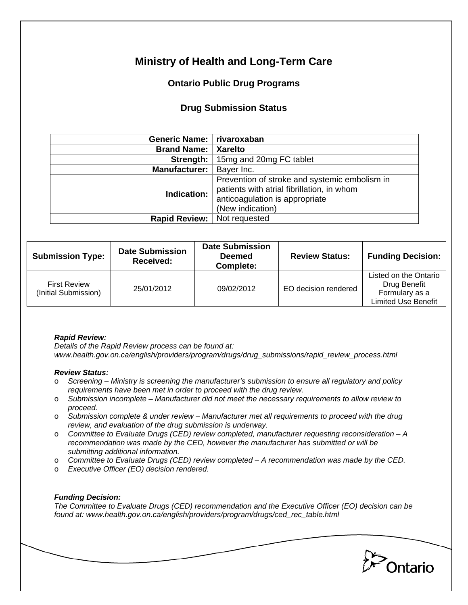# **Ministry of Health and Long-Term Care**

## **Ontario Public Drug Programs**

### **Drug Submission Status**

| Generic Name:   rivaroxaban   |                                                                                                                                                   |  |  |
|-------------------------------|---------------------------------------------------------------------------------------------------------------------------------------------------|--|--|
| <b>Brand Name:</b>            | <b>Xarelto</b>                                                                                                                                    |  |  |
| Strength:                     | 15mg and 20mg FC tablet                                                                                                                           |  |  |
| <b>Manufacturer:</b>          | Bayer Inc.                                                                                                                                        |  |  |
| Indication:                   | Prevention of stroke and systemic embolism in<br>patients with atrial fibrillation, in whom<br>anticoagulation is appropriate<br>(New indication) |  |  |
| Rapid Review:   Not requested |                                                                                                                                                   |  |  |

| <b>Submission Type:</b>                     | <b>Date Submission</b><br>Received: | <b>Date Submission</b><br><b>Deemed</b><br>Complete: | <b>Review Status:</b> | <b>Funding Decision:</b>                                                              |
|---------------------------------------------|-------------------------------------|------------------------------------------------------|-----------------------|---------------------------------------------------------------------------------------|
| <b>First Review</b><br>(Initial Submission) | 25/01/2012                          | 09/02/2012                                           | EO decision rendered  | Listed on the Ontario<br>Drug Benefit<br>Formulary as a<br><b>Limited Use Benefit</b> |

#### *Rapid Review:*

*Details of the Rapid Review process can be found at: www.health.gov.on.ca/english/providers/program/drugs/drug\_submissions/rapid\_review\_process.html* 

#### *Review Status:*

- o *Screening Ministry is screening the manufacturer's submission to ensure all regulatory and policy requirements have been met in order to proceed with the drug review.*
- o *Submission incomplete Manufacturer did not meet the necessary requirements to allow review to proceed.*
- o *Submission complete & under review Manufacturer met all requirements to proceed with the drug review, and evaluation of the drug submission is underway.*
- o *Committee to Evaluate Drugs (CED) review completed, manufacturer requesting reconsideration A recommendation was made by the CED, however the manufacturer has submitted or will be submitting additional information.*
- o *Committee to Evaluate Drugs (CED) review completed A recommendation was made by the CED.*
- o *Executive Officer (EO) decision rendered.*

### *Funding Decision:*

*The Committee to Evaluate Drugs (CED) recommendation and the Executive Officer (EO) decision can be found at: www.health.gov.on.ca/english/providers/program/drugs/ced\_rec\_table.html*